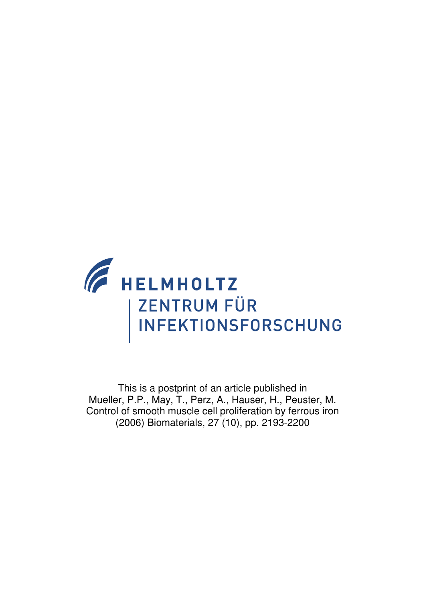

This is a postprint of an article published in Mueller, P.P., May, T., Perz, A., Hauser, H., Peuster, M. Control of smooth muscle cell proliferation by ferrous iron (2006) Biomaterials, 27 (10), pp. 2193-2200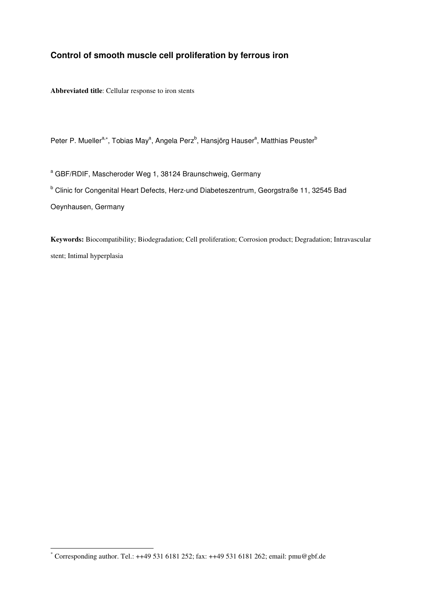# **Control of smooth muscle cell proliferation by ferrous iron**

**Abbreviated title**: Cellular response to iron stents

Peter P. Mueller<sup>a,∗</sup>, Tobias May<sup>a</sup>, Angela Perz<sup>b</sup>, Hansjörg Hauser<sup>a</sup>, Matthias Peuster<sup>b</sup>

<sup>a</sup> GBF/RDIF, Mascheroder Weg 1, 38124 Braunschweig, Germany <sup>b</sup> Clinic for Congenital Heart Defects, Herz-und Diabeteszentrum, Georgstraße 11, 32545 Bad Oeynhausen, Germany

**Keywords:** Biocompatibility; Biodegradation; Cell proliferation; Corrosion product; Degradation; Intravascular stent; Intimal hyperplasia

 \* Corresponding author. Tel.: ++49 531 6181 252; fax: ++49 531 6181 262; email: pmu@gbf.de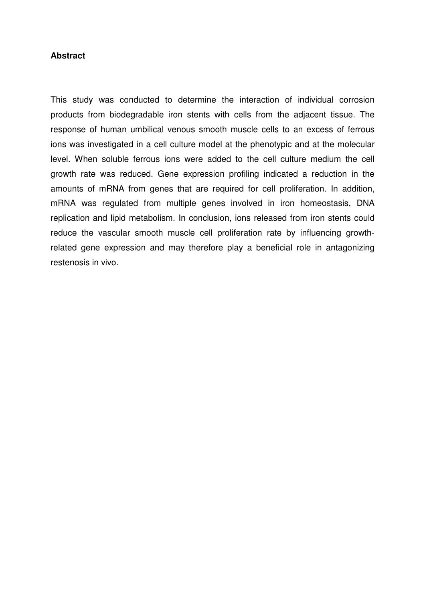## **Abstract**

This study was conducted to determine the interaction of individual corrosion products from biodegradable iron stents with cells from the adjacent tissue. The response of human umbilical venous smooth muscle cells to an excess of ferrous ions was investigated in a cell culture model at the phenotypic and at the molecular level. When soluble ferrous ions were added to the cell culture medium the cell growth rate was reduced. Gene expression profiling indicated a reduction in the amounts of mRNA from genes that are required for cell proliferation. In addition, mRNA was regulated from multiple genes involved in iron homeostasis, DNA replication and lipid metabolism. In conclusion, ions released from iron stents could reduce the vascular smooth muscle cell proliferation rate by influencing growthrelated gene expression and may therefore play a beneficial role in antagonizing restenosis in vivo.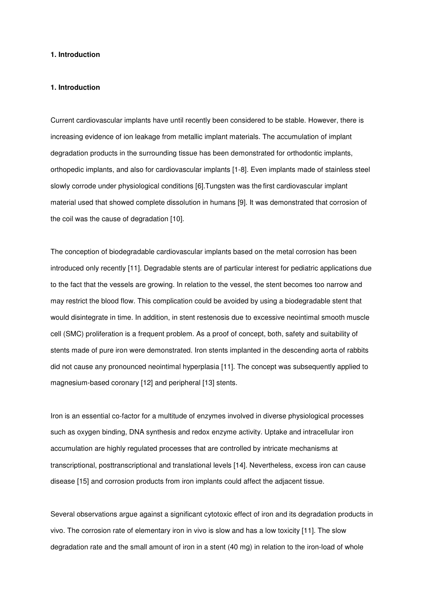#### **1. Introduction**

#### **1. Introduction**

Current cardiovascular implants have until recently been considered to be stable. However, there is increasing evidence of ion leakage from metallic implant materials. The accumulation of implant degradation products in the surrounding tissue has been demonstrated for orthodontic implants, orthopedic implants, and also for cardiovascular implants [1-8]. Even implants made of stainless steel slowly corrode under physiological conditions [6].Tungsten was the first cardiovascular implant material used that showed complete dissolution in humans [9]. It was demonstrated that corrosion of the coil was the cause of degradation [10].

The conception of biodegradable cardiovascular implants based on the metal corrosion has been introduced only recently [11]. Degradable stents are of particular interest for pediatric applications due to the fact that the vessels are growing. In relation to the vessel, the stent becomes too narrow and may restrict the blood flow. This complication could be avoided by using a biodegradable stent that would disintegrate in time. In addition, in stent restenosis due to excessive neointimal smooth muscle cell (SMC) proliferation is a frequent problem. As a proof of concept, both, safety and suitability of stents made of pure iron were demonstrated. Iron stents implanted in the descending aorta of rabbits did not cause any pronounced neointimal hyperplasia [11]. The concept was subsequently applied to magnesium-based coronary [12] and peripheral [13] stents.

Iron is an essential co-factor for a multitude of enzymes involved in diverse physiological processes such as oxygen binding, DNA synthesis and redox enzyme activity. Uptake and intracellular iron accumulation are highly regulated processes that are controlled by intricate mechanisms at transcriptional, posttranscriptional and translational levels [14]. Nevertheless, excess iron can cause disease [15] and corrosion products from iron implants could affect the adjacent tissue.

Several observations argue against a significant cytotoxic effect of iron and its degradation products in vivo. The corrosion rate of elementary iron in vivo is slow and has a low toxicity [11]. The slow degradation rate and the small amount of iron in a stent (40 mg) in relation to the iron-load of whole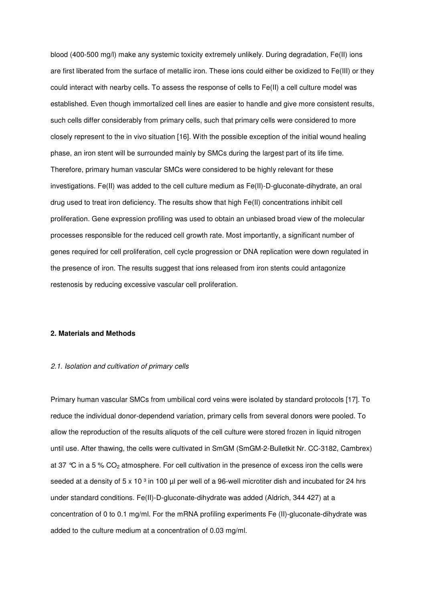blood (400-500 mg/l) make any systemic toxicity extremely unlikely. During degradation, Fe(II) ions are first liberated from the surface of metallic iron. These ions could either be oxidized to Fe(III) or they could interact with nearby cells. To assess the response of cells to Fe(II) a cell culture model was established. Even though immortalized cell lines are easier to handle and give more consistent results, such cells differ considerably from primary cells, such that primary cells were considered to more closely represent to the in vivo situation [16]. With the possible exception of the initial wound healing phase, an iron stent will be surrounded mainly by SMCs during the largest part of its life time. Therefore, primary human vascular SMCs were considered to be highly relevant for these investigations. Fe(II) was added to the cell culture medium as Fe(II)-D-gluconate-dihydrate, an oral drug used to treat iron deficiency. The results show that high Fe(II) concentrations inhibit cell proliferation. Gene expression profiling was used to obtain an unbiased broad view of the molecular processes responsible for the reduced cell growth rate. Most importantly, a significant number of genes required for cell proliferation, cell cycle progression or DNA replication were down regulated in the presence of iron. The results suggest that ions released from iron stents could antagonize restenosis by reducing excessive vascular cell proliferation.

## **2. Materials and Methods**

#### 2.1. Isolation and cultivation of primary cells

Primary human vascular SMCs from umbilical cord veins were isolated by standard protocols [17]. To reduce the individual donor-dependend variation, primary cells from several donors were pooled. To allow the reproduction of the results aliquots of the cell culture were stored frozen in liquid nitrogen until use. After thawing, the cells were cultivated in SmGM (SmGM-2-Bulletkit Nr. CC-3182, Cambrex) at 37  $\degree$ C in a 5 % CO<sub>2</sub> atmosphere. For cell cultivation in the presence of excess iron the cells were seeded at a density of 5 x 10  $3$  in 100 µl per well of a 96-well microtiter dish and incubated for 24 hrs under standard conditions. Fe(II)-D-gluconate-dihydrate was added (Aldrich, 344 427) at a concentration of 0 to 0.1 mg/ml. For the mRNA profiling experiments Fe (II)-gluconate-dihydrate was added to the culture medium at a concentration of 0.03 mg/ml.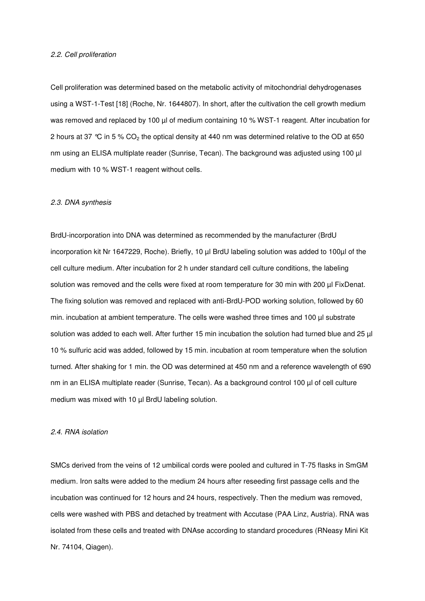#### 2.2. Cell proliferation

Cell proliferation was determined based on the metabolic activity of mitochondrial dehydrogenases using a WST-1-Test [18] (Roche, Nr. 1644807). In short, after the cultivation the cell growth medium was removed and replaced by 100 µl of medium containing 10 % WST-1 reagent. After incubation for 2 hours at 37 °C in 5 %  $CO<sub>2</sub>$  the optical density at 440 nm was determined relative to the OD at 650 nm using an ELISA multiplate reader (Sunrise, Tecan). The background was adjusted using 100 µl medium with 10 % WST-1 reagent without cells.

#### 2.3. DNA synthesis

BrdU-incorporation into DNA was determined as recommended by the manufacturer (BrdU incorporation kit Nr 1647229, Roche). Briefly, 10 µl BrdU labeling solution was added to 100µl of the cell culture medium. After incubation for 2 h under standard cell culture conditions, the labeling solution was removed and the cells were fixed at room temperature for 30 min with 200 µl FixDenat. The fixing solution was removed and replaced with anti-BrdU-POD working solution, followed by 60 min. incubation at ambient temperature. The cells were washed three times and 100 µl substrate solution was added to each well. After further 15 min incubation the solution had turned blue and 25 µl 10 % sulfuric acid was added, followed by 15 min. incubation at room temperature when the solution turned. After shaking for 1 min. the OD was determined at 450 nm and a reference wavelength of 690 nm in an ELISA multiplate reader (Sunrise, Tecan). As a background control 100 µl of cell culture medium was mixed with 10 µl BrdU labeling solution.

#### 2.4. RNA isolation

SMCs derived from the veins of 12 umbilical cords were pooled and cultured in T-75 flasks in SmGM medium. Iron salts were added to the medium 24 hours after reseeding first passage cells and the incubation was continued for 12 hours and 24 hours, respectively. Then the medium was removed, cells were washed with PBS and detached by treatment with Accutase (PAA Linz, Austria). RNA was isolated from these cells and treated with DNAse according to standard procedures (RNeasy Mini Kit Nr. 74104, Qiagen).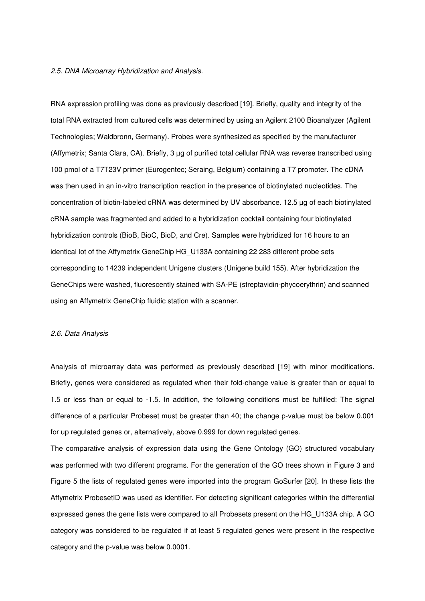## 2.5. DNA Microarray Hybridization and Analysis.

RNA expression profiling was done as previously described [19]. Briefly, quality and integrity of the total RNA extracted from cultured cells was determined by using an Agilent 2100 Bioanalyzer (Agilent Technologies; Waldbronn, Germany). Probes were synthesized as specified by the manufacturer (Affymetrix; Santa Clara, CA). Briefly, 3 µg of purified total cellular RNA was reverse transcribed using 100 pmol of a T7T23V primer (Eurogentec; Seraing, Belgium) containing a T7 promoter. The cDNA was then used in an in-vitro transcription reaction in the presence of biotinylated nucleotides. The concentration of biotin-labeled cRNA was determined by UV absorbance. 12.5 µg of each biotinylated cRNA sample was fragmented and added to a hybridization cocktail containing four biotinylated hybridization controls (BioB, BioC, BioD, and Cre). Samples were hybridized for 16 hours to an identical lot of the Affymetrix GeneChip HG\_U133A containing 22 283 different probe sets corresponding to 14239 independent Unigene clusters (Unigene build 155). After hybridization the GeneChips were washed, fluorescently stained with SA-PE (streptavidin-phycoerythrin) and scanned using an Affymetrix GeneChip fluidic station with a scanner.

## 2.6. Data Analysis

Analysis of microarray data was performed as previously described [19] with minor modifications. Briefly, genes were considered as regulated when their fold-change value is greater than or equal to 1.5 or less than or equal to -1.5. In addition, the following conditions must be fulfilled: The signal difference of a particular Probeset must be greater than 40; the change p-value must be below 0.001 for up regulated genes or, alternatively, above 0.999 for down regulated genes.

The comparative analysis of expression data using the Gene Ontology (GO) structured vocabulary was performed with two different programs. For the generation of the GO trees shown in Figure 3 and Figure 5 the lists of regulated genes were imported into the program GoSurfer [20]. In these lists the Affymetrix ProbesetID was used as identifier. For detecting significant categories within the differential expressed genes the gene lists were compared to all Probesets present on the HG\_U133A chip. A GO category was considered to be regulated if at least 5 regulated genes were present in the respective category and the p-value was below 0.0001.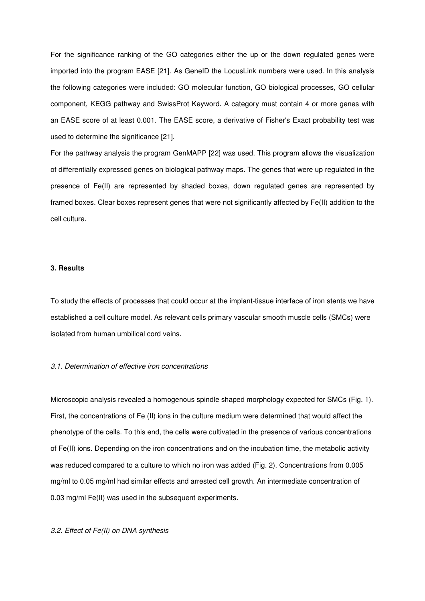For the significance ranking of the GO categories either the up or the down regulated genes were imported into the program EASE [21]. As GeneID the LocusLink numbers were used. In this analysis the following categories were included: GO molecular function, GO biological processes, GO cellular component, KEGG pathway and SwissProt Keyword. A category must contain 4 or more genes with an EASE score of at least 0.001. The EASE score, a derivative of Fisher's Exact probability test was used to determine the significance [21].

For the pathway analysis the program GenMAPP [22] was used. This program allows the visualization of differentially expressed genes on biological pathway maps. The genes that were up regulated in the presence of Fe(II) are represented by shaded boxes, down regulated genes are represented by framed boxes. Clear boxes represent genes that were not significantly affected by Fe(II) addition to the cell culture.

#### **3. Results**

To study the effects of processes that could occur at the implant-tissue interface of iron stents we have established a cell culture model. As relevant cells primary vascular smooth muscle cells (SMCs) were isolated from human umbilical cord veins.

#### 3.1. Determination of effective iron concentrations

Microscopic analysis revealed a homogenous spindle shaped morphology expected for SMCs (Fig. 1). First, the concentrations of Fe (II) ions in the culture medium were determined that would affect the phenotype of the cells. To this end, the cells were cultivated in the presence of various concentrations of Fe(II) ions. Depending on the iron concentrations and on the incubation time, the metabolic activity was reduced compared to a culture to which no iron was added (Fig. 2). Concentrations from 0.005 mg/ml to 0.05 mg/ml had similar effects and arrested cell growth. An intermediate concentration of 0.03 mg/ml Fe(II) was used in the subsequent experiments.

## 3.2. Effect of Fe(II) on DNA synthesis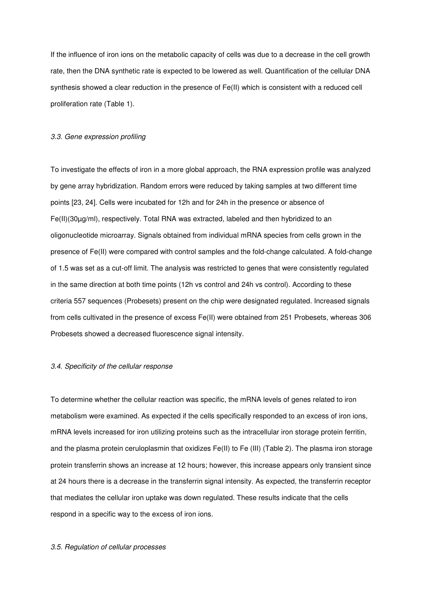If the influence of iron ions on the metabolic capacity of cells was due to a decrease in the cell growth rate, then the DNA synthetic rate is expected to be lowered as well. Quantification of the cellular DNA synthesis showed a clear reduction in the presence of Fe(II) which is consistent with a reduced cell proliferation rate (Table 1).

#### 3.3. Gene expression profiling

To investigate the effects of iron in a more global approach, the RNA expression profile was analyzed by gene array hybridization. Random errors were reduced by taking samples at two different time points [23, 24]. Cells were incubated for 12h and for 24h in the presence or absence of Fe(II)(30µg/ml), respectively. Total RNA was extracted, labeled and then hybridized to an oligonucleotide microarray. Signals obtained from individual mRNA species from cells grown in the presence of Fe(II) were compared with control samples and the fold-change calculated. A fold-change of 1.5 was set as a cut-off limit. The analysis was restricted to genes that were consistently regulated in the same direction at both time points (12h vs control and 24h vs control). According to these criteria 557 sequences (Probesets) present on the chip were designated regulated. Increased signals from cells cultivated in the presence of excess Fe(II) were obtained from 251 Probesets, whereas 306 Probesets showed a decreased fluorescence signal intensity.

#### 3.4. Specificity of the cellular response

To determine whether the cellular reaction was specific, the mRNA levels of genes related to iron metabolism were examined. As expected if the cells specifically responded to an excess of iron ions, mRNA levels increased for iron utilizing proteins such as the intracellular iron storage protein ferritin, and the plasma protein ceruloplasmin that oxidizes Fe(II) to Fe (III) (Table 2). The plasma iron storage protein transferrin shows an increase at 12 hours; however, this increase appears only transient since at 24 hours there is a decrease in the transferrin signal intensity. As expected, the transferrin receptor that mediates the cellular iron uptake was down regulated. These results indicate that the cells respond in a specific way to the excess of iron ions.

#### 3.5. Regulation of cellular processes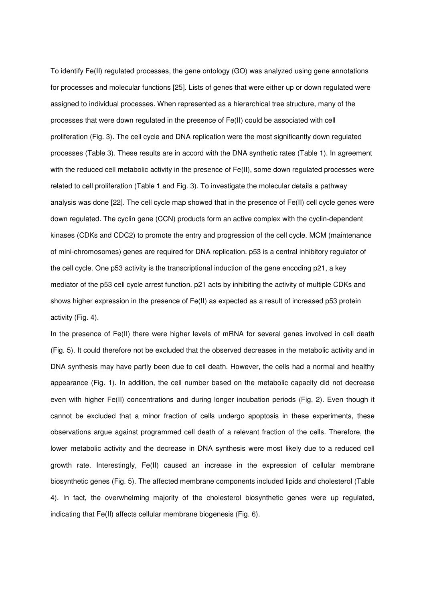To identify Fe(II) regulated processes, the gene ontology (GO) was analyzed using gene annotations for processes and molecular functions [25]. Lists of genes that were either up or down regulated were assigned to individual processes. When represented as a hierarchical tree structure, many of the processes that were down regulated in the presence of Fe(II) could be associated with cell proliferation (Fig. 3). The cell cycle and DNA replication were the most significantly down regulated processes (Table 3). These results are in accord with the DNA synthetic rates (Table 1). In agreement with the reduced cell metabolic activity in the presence of Fe(II), some down regulated processes were related to cell proliferation (Table 1 and Fig. 3). To investigate the molecular details a pathway analysis was done [22]. The cell cycle map showed that in the presence of Fe(II) cell cycle genes were down regulated. The cyclin gene (CCN) products form an active complex with the cyclin-dependent kinases (CDKs and CDC2) to promote the entry and progression of the cell cycle. MCM (maintenance of mini-chromosomes) genes are required for DNA replication. p53 is a central inhibitory regulator of the cell cycle. One p53 activity is the transcriptional induction of the gene encoding p21, a key mediator of the p53 cell cycle arrest function. p21 acts by inhibiting the activity of multiple CDKs and shows higher expression in the presence of Fe(II) as expected as a result of increased p53 protein activity (Fig. 4).

In the presence of Fe(II) there were higher levels of mRNA for several genes involved in cell death (Fig. 5). It could therefore not be excluded that the observed decreases in the metabolic activity and in DNA synthesis may have partly been due to cell death. However, the cells had a normal and healthy appearance (Fig. 1). In addition, the cell number based on the metabolic capacity did not decrease even with higher Fe(II) concentrations and during longer incubation periods (Fig. 2). Even though it cannot be excluded that a minor fraction of cells undergo apoptosis in these experiments, these observations argue against programmed cell death of a relevant fraction of the cells. Therefore, the lower metabolic activity and the decrease in DNA synthesis were most likely due to a reduced cell growth rate. Interestingly, Fe(II) caused an increase in the expression of cellular membrane biosynthetic genes (Fig. 5). The affected membrane components included lipids and cholesterol (Table 4). In fact, the overwhelming majority of the cholesterol biosynthetic genes were up regulated, indicating that Fe(II) affects cellular membrane biogenesis (Fig. 6).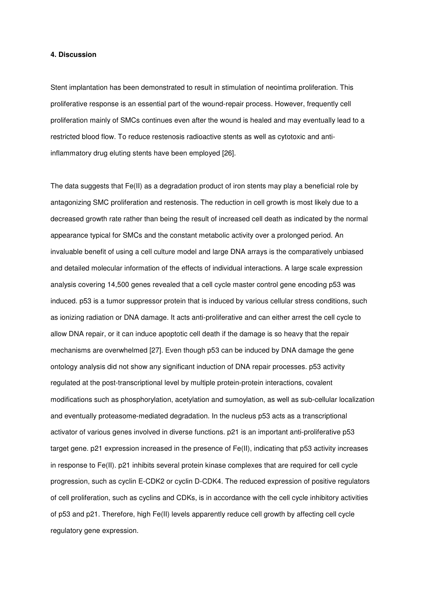### **4. Discussion**

Stent implantation has been demonstrated to result in stimulation of neointima proliferation. This proliferative response is an essential part of the wound-repair process. However, frequently cell proliferation mainly of SMCs continues even after the wound is healed and may eventually lead to a restricted blood flow. To reduce restenosis radioactive stents as well as cytotoxic and antiinflammatory drug eluting stents have been employed [26].

The data suggests that Fe(II) as a degradation product of iron stents may play a beneficial role by antagonizing SMC proliferation and restenosis. The reduction in cell growth is most likely due to a decreased growth rate rather than being the result of increased cell death as indicated by the normal appearance typical for SMCs and the constant metabolic activity over a prolonged period. An invaluable benefit of using a cell culture model and large DNA arrays is the comparatively unbiased and detailed molecular information of the effects of individual interactions. A large scale expression analysis covering 14,500 genes revealed that a cell cycle master control gene encoding p53 was induced. p53 is a tumor suppressor protein that is induced by various cellular stress conditions, such as ionizing radiation or DNA damage. It acts anti-proliferative and can either arrest the cell cycle to allow DNA repair, or it can induce apoptotic cell death if the damage is so heavy that the repair mechanisms are overwhelmed [27]. Even though p53 can be induced by DNA damage the gene ontology analysis did not show any significant induction of DNA repair processes. p53 activity regulated at the post-transcriptional level by multiple protein-protein interactions, covalent modifications such as phosphorylation, acetylation and sumoylation, as well as sub-cellular localization and eventually proteasome-mediated degradation. In the nucleus p53 acts as a transcriptional activator of various genes involved in diverse functions. p21 is an important anti-proliferative p53 target gene. p21 expression increased in the presence of Fe(II), indicating that p53 activity increases in response to Fe(II). p21 inhibits several protein kinase complexes that are required for cell cycle progression, such as cyclin E-CDK2 or cyclin D-CDK4. The reduced expression of positive regulators of cell proliferation, such as cyclins and CDKs, is in accordance with the cell cycle inhibitory activities of p53 and p21. Therefore, high Fe(II) levels apparently reduce cell growth by affecting cell cycle regulatory gene expression.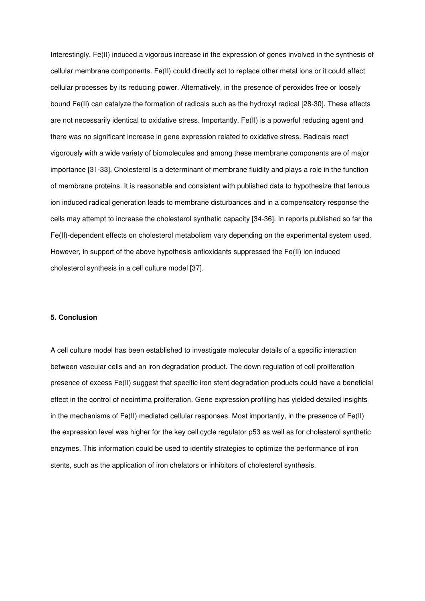Interestingly, Fe(II) induced a vigorous increase in the expression of genes involved in the synthesis of cellular membrane components. Fe(II) could directly act to replace other metal ions or it could affect cellular processes by its reducing power. Alternatively, in the presence of peroxides free or loosely bound Fe(II) can catalyze the formation of radicals such as the hydroxyl radical [28-30]. These effects are not necessarily identical to oxidative stress. Importantly, Fe(II) is a powerful reducing agent and there was no significant increase in gene expression related to oxidative stress. Radicals react vigorously with a wide variety of biomolecules and among these membrane components are of major importance [31-33]. Cholesterol is a determinant of membrane fluidity and plays a role in the function of membrane proteins. It is reasonable and consistent with published data to hypothesize that ferrous ion induced radical generation leads to membrane disturbances and in a compensatory response the cells may attempt to increase the cholesterol synthetic capacity [34-36]. In reports published so far the Fe(II)-dependent effects on cholesterol metabolism vary depending on the experimental system used. However, in support of the above hypothesis antioxidants suppressed the Fe(II) ion induced cholesterol synthesis in a cell culture model [37].

## **5. Conclusion**

A cell culture model has been established to investigate molecular details of a specific interaction between vascular cells and an iron degradation product. The down regulation of cell proliferation presence of excess Fe(II) suggest that specific iron stent degradation products could have a beneficial effect in the control of neointima proliferation. Gene expression profiling has yielded detailed insights in the mechanisms of Fe(II) mediated cellular responses. Most importantly, in the presence of Fe(II) the expression level was higher for the key cell cycle regulator p53 as well as for cholesterol synthetic enzymes. This information could be used to identify strategies to optimize the performance of iron stents, such as the application of iron chelators or inhibitors of cholesterol synthesis.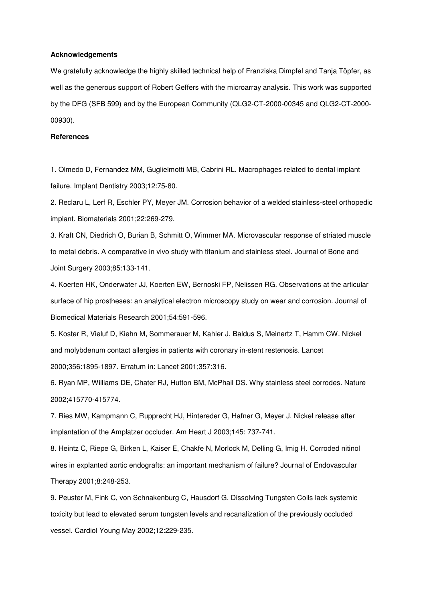### **Acknowledgements**

We gratefully acknowledge the highly skilled technical help of Franziska Dimpfel and Tanja Töpfer, as well as the generous support of Robert Geffers with the microarray analysis. This work was supported by the DFG (SFB 599) and by the European Community (QLG2-CT-2000-00345 and QLG2-CT-2000- 00930).

### **References**

1. Olmedo D, Fernandez MM, Guglielmotti MB, Cabrini RL. Macrophages related to dental implant failure. Implant Dentistry 2003;12:75-80.

2. Reclaru L, Lerf R, Eschler PY, Meyer JM. Corrosion behavior of a welded stainless-steel orthopedic implant. Biomaterials 2001;22:269-279.

3. Kraft CN, Diedrich O, Burian B, Schmitt O, Wimmer MA. Microvascular response of striated muscle to metal debris. A comparative in vivo study with titanium and stainless steel. Journal of Bone and Joint Surgery 2003;85:133-141.

4. Koerten HK, Onderwater JJ, Koerten EW, Bernoski FP, Nelissen RG. Observations at the articular surface of hip prostheses: an analytical electron microscopy study on wear and corrosion. Journal of Biomedical Materials Research 2001;54:591-596.

5. Koster R, Vieluf D, Kiehn M, Sommerauer M, Kahler J, Baldus S, Meinertz T, Hamm CW. Nickel and molybdenum contact allergies in patients with coronary in-stent restenosis. Lancet 2000;356:1895-1897. Erratum in: Lancet 2001;357:316.

6. Ryan MP, Williams DE, Chater RJ, Hutton BM, McPhail DS. Why stainless steel corrodes. Nature 2002;415770-415774.

7. Ries MW, Kampmann C, Rupprecht HJ, Hintereder G, Hafner G, Meyer J. Nickel release after implantation of the Amplatzer occluder. Am Heart J 2003;145: 737-741.

8. Heintz C, Riepe G, Birken L, Kaiser E, Chakfe N, Morlock M, Delling G, Imig H. Corroded nitinol wires in explanted aortic endografts: an important mechanism of failure? Journal of Endovascular Therapy 2001;8:248-253.

9. Peuster M, Fink C, von Schnakenburg C, Hausdorf G. Dissolving Tungsten Coils lack systemic toxicity but lead to elevated serum tungsten levels and recanalization of the previously occluded vessel. Cardiol Young May 2002;12:229-235.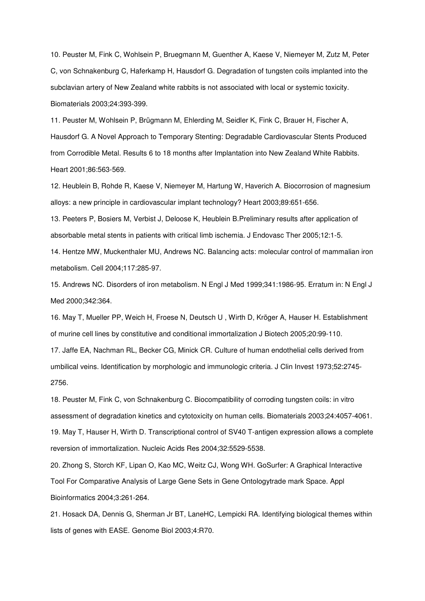10. Peuster M, Fink C, Wohlsein P, Bruegmann M, Guenther A, Kaese V, Niemeyer M, Zutz M, Peter C, von Schnakenburg C, Haferkamp H, Hausdorf G. Degradation of tungsten coils implanted into the subclavian artery of New Zealand white rabbits is not associated with local or systemic toxicity. Biomaterials 2003;24:393-399.

11. Peuster M, Wohlsein P, Brügmann M, Ehlerding M, Seidler K, Fink C, Brauer H, Fischer A, Hausdorf G. A Novel Approach to Temporary Stenting: Degradable Cardiovascular Stents Produced from Corrodible Metal. Results 6 to 18 months after Implantation into New Zealand White Rabbits. Heart 2001;86:563-569.

12. Heublein B, Rohde R, Kaese V, Niemeyer M, Hartung W, Haverich A. Biocorrosion of magnesium alloys: a new principle in cardiovascular implant technology? Heart 2003;89:651-656.

13. Peeters P, Bosiers M, Verbist J, Deloose K, Heublein B.Preliminary results after application of absorbable metal stents in patients with critical limb ischemia. J Endovasc Ther 2005;12:1-5.

14. Hentze MW, Muckenthaler MU, Andrews NC. Balancing acts: molecular control of mammalian iron metabolism. Cell 2004;117:285-97.

15. Andrews NC. Disorders of iron metabolism. N Engl J Med 1999;341:1986-95. Erratum in: N Engl J Med 2000;342:364.

16. May T, Mueller PP, Weich H, Froese N, Deutsch U , Wirth D, Kröger A, Hauser H. Establishment of murine cell lines by constitutive and conditional immortalization J Biotech 2005;20:99-110.

17. Jaffe EA, Nachman RL, Becker CG, Minick CR. Culture of human endothelial cells derived from umbilical veins. Identification by morphologic and immunologic criteria. J Clin Invest 1973;52:2745- 2756.

18. Peuster M, Fink C, von Schnakenburg C. Biocompatibility of corroding tungsten coils: in vitro assessment of degradation kinetics and cytotoxicity on human cells. Biomaterials 2003;24:4057-4061. 19. May T, Hauser H, Wirth D. Transcriptional control of SV40 T-antigen expression allows a complete reversion of immortalization. Nucleic Acids Res 2004;32:5529-5538.

20. Zhong S, Storch KF, Lipan O, Kao MC, Weitz CJ, Wong WH. GoSurfer: A Graphical Interactive Tool For Comparative Analysis of Large Gene Sets in Gene Ontologytrade mark Space. Appl Bioinformatics 2004;3:261-264.

21. Hosack DA, Dennis G, Sherman Jr BT, LaneHC, Lempicki RA. Identifying biological themes within lists of genes with EASE. Genome Biol 2003;4:R70.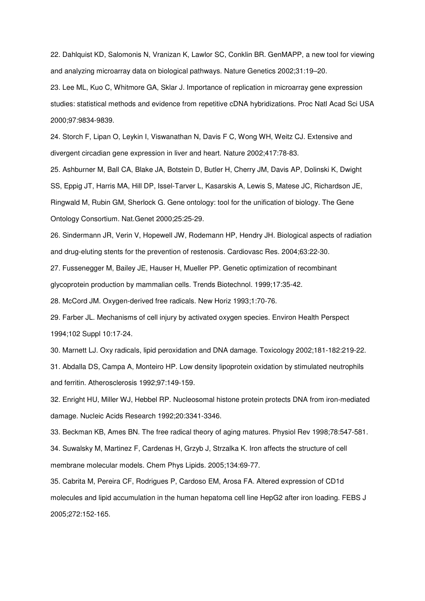22. Dahlquist KD, Salomonis N, Vranizan K, Lawlor SC, Conklin BR. GenMAPP, a new tool for viewing and analyzing microarray data on biological pathways. Nature Genetics 2002;31:19–20.

23. Lee ML, Kuo C, Whitmore GA, Sklar J. Importance of replication in microarray gene expression studies: statistical methods and evidence from repetitive cDNA hybridizations. Proc Natl Acad Sci USA 2000;97:9834-9839.

24. Storch F, Lipan O, Leykin I, Viswanathan N, Davis F C, Wong WH, Weitz CJ. Extensive and divergent circadian gene expression in liver and heart. Nature 2002;417:78-83.

25. Ashburner M, Ball CA, Blake JA, Botstein D, Butler H, Cherry JM, Davis AP, Dolinski K, Dwight SS, Eppig JT, Harris MA, Hill DP, Issel-Tarver L, Kasarskis A, Lewis S, Matese JC, Richardson JE, Ringwald M, Rubin GM, Sherlock G. Gene ontology: tool for the unification of biology. The Gene Ontology Consortium. Nat.Genet 2000;25:25-29.

26. Sindermann JR, Verin V, Hopewell JW, Rodemann HP, Hendry JH. Biological aspects of radiation and drug-eluting stents for the prevention of restenosis. Cardiovasc Res. 2004;63:22-30.

27. Fussenegger M, Bailey JE, Hauser H, Mueller PP. Genetic optimization of recombinant glycoprotein production by mammalian cells. Trends Biotechnol. 1999;17:35-42.

28. McCord JM. Oxygen-derived free radicals. New Horiz 1993;1:70-76.

29. Farber JL. Mechanisms of cell injury by activated oxygen species. Environ Health Perspect 1994;102 Suppl 10:17-24.

30. Marnett LJ. Oxy radicals, lipid peroxidation and DNA damage. Toxicology 2002;181-182:219-22.

31. Abdalla DS, Campa A, Monteiro HP. Low density lipoprotein oxidation by stimulated neutrophils and ferritin. Atherosclerosis 1992;97:149-159.

32. Enright HU, Miller WJ, Hebbel RP. Nucleosomal histone protein protects DNA from iron-mediated damage. Nucleic Acids Research 1992;20:3341-3346.

33. Beckman KB, Ames BN. The free radical theory of aging matures. Physiol Rev 1998;78:547-581.

34. Suwalsky M, Martinez F, Cardenas H, Grzyb J, Strzalka K. Iron affects the structure of cell membrane molecular models. Chem Phys Lipids. 2005;134:69-77.

35. Cabrita M, Pereira CF, Rodrigues P, Cardoso EM, Arosa FA. Altered expression of CD1d molecules and lipid accumulation in the human hepatoma cell line HepG2 after iron loading. FEBS J 2005;272:152-165.